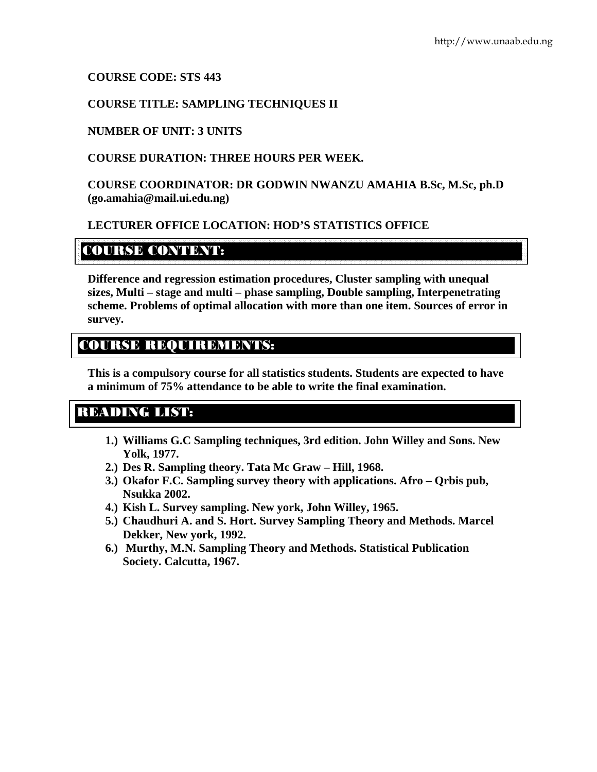# **COURSE CODE: STS 443**

# **COURSE TITLE: SAMPLING TECHNIQUES II**

## **NUMBER OF UNIT: 3 UNITS**

# **COURSE DURATION: THREE HOURS PER WEEK.**

**COURSE COORDINATOR: DR GODWIN NWANZU AMAHIA B.Sc, M.Sc, ph.D (go.amahia@mail.ui.edu.ng)** 

# **LECTURER OFFICE LOCATION: HOD'S STATISTICS OFFICE**

# COURSE CONTENTS

**Difference and regression estimation procedures, Cluster sampling with unequal sizes, Multi – stage and multi – phase sampling, Double sampling, Interpenetrating scheme. Problems of optimal allocation with more than one item. Sources of error in survey.** 

# COURSE REQUIREMENTS:

**This is a compulsory course for all statistics students. Students are expected to have a minimum of 75% attendance to be able to write the final examination.** 

# READING LIST:

- **1.) Williams G.C Sampling techniques, 3rd edition. John Willey and Sons. New Yolk, 1977.**
- **2.) Des R. Sampling theory. Tata Mc Graw Hill, 1968.**
- **3.) Okafor F.C. Sampling survey theory with applications. Afro Qrbis pub, Nsukka 2002.**
- **4.) Kish L. Survey sampling. New york, John Willey, 1965.**
- **5.) Chaudhuri A. and S. Hort. Survey Sampling Theory and Methods. Marcel Dekker, New york, 1992.**
- **6.) Murthy, M.N. Sampling Theory and Methods. Statistical Publication Society. Calcutta, 1967.**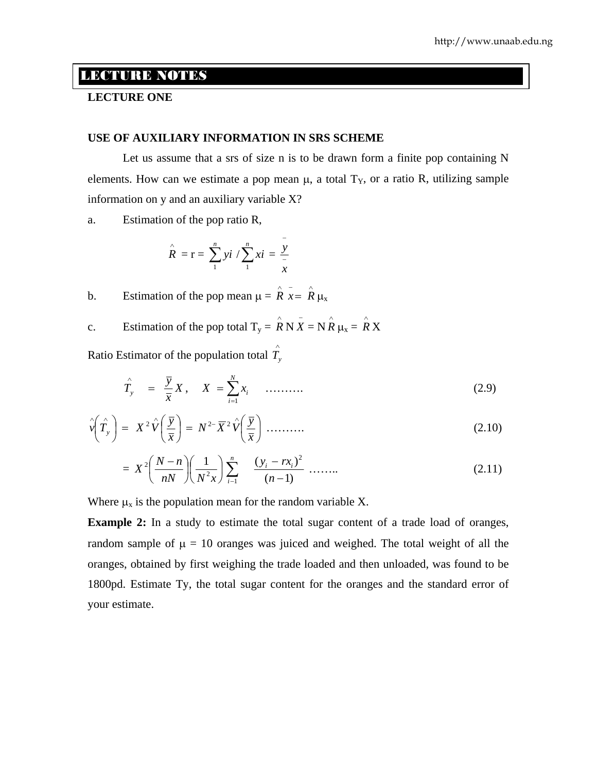# LECTURE NOTES

## **LECTURE ONE**

#### **USE OF AUXILIARY INFORMATION IN SRS SCHEME**

Let us assume that a srs of size n is to be drawn form a finite pop containing N elements. How can we estimate a pop mean  $\mu$ , a total  $T_y$ , or a ratio R, utilizing sample information on y and an auxiliary variable X?

a. Estimation of the pop ratio R,

$$
\hat{R} = \mathbf{r} = \sum_{1}^{n} y i / \sum_{1}^{n} x i = \frac{y}{x}
$$

b. Estimation of the pop mean  $\mu = \hat{R} \bar{x} = \hat{R} \mu_x$ 

c. Estimation of the pop total  $T_y = \hat{R} N \bar{X} = N \hat{R} \mu_x = \hat{R} X$ 

Ratio Estimator of the population total  $\hat{T}_y$ 

$$
\hat{T}_y = \frac{\bar{y}}{\bar{x}} X, \quad X = \sum_{i=1}^N x_i \quad \dots \dots \tag{2.9}
$$

$$
\hat{v}\left(\hat{T}_y\right) = X^2 \hat{V}\left(\frac{\overline{y}}{\overline{x}}\right) = N^{2-} \overline{X}^2 \hat{V}\left(\frac{\overline{y}}{\overline{x}}\right) \dots \dots \dots \tag{2.10}
$$

$$
= X^{2} \left( \frac{N-n}{nN} \right) \left( \frac{1}{N^{2} x} \right) \sum_{i=1}^{n} \frac{(y_{i} - rx_{i})^{2}}{(n-1)} \dots \dots \dots \tag{2.11}
$$

Where  $\mu_x$  is the population mean for the random variable X.

**Example 2:** In a study to estimate the total sugar content of a trade load of oranges, random sample of  $\mu = 10$  oranges was juiced and weighed. The total weight of all the oranges, obtained by first weighing the trade loaded and then unloaded, was found to be 1800pd. Estimate Ty, the total sugar content for the oranges and the standard error of your estimate.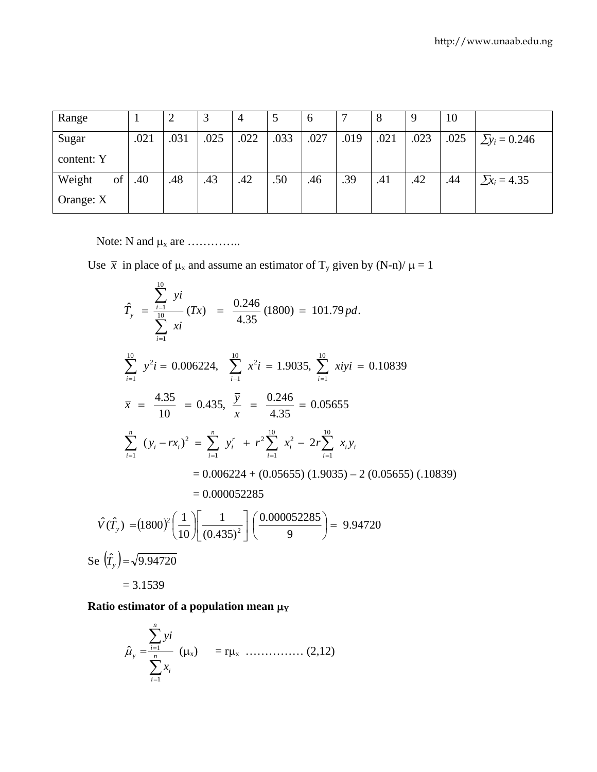| Range        |      |      |      |      |      | $\mathbf 0$ |      |      |      | 10   |                      |
|--------------|------|------|------|------|------|-------------|------|------|------|------|----------------------|
| Sugar        | .021 | .031 | .025 | .022 | .033 | .027        | .019 | .021 | .023 | .025 | $\Sigma y_i = 0.246$ |
| content: Y   |      |      |      |      |      |             |      |      |      |      |                      |
| of<br>Weight | .40  | .48  | .43  | .42  | .50  | .46         | .39  | .41  | .42  | .44  | $\sum x_i = 4.35$    |
| Orange: X    |      |      |      |      |      |             |      |      |      |      |                      |

Note: N and μx are …………..

Use  $\bar{x}$  in place of  $\mu_x$  and assume an estimator of T<sub>y</sub> given by (N-n)/  $\mu = 1$ 

$$
\hat{T}_y = \frac{\sum_{i=1}^{10} yi}{\sum_{i=1}^{10} xi} (Tx) = \frac{0.246}{4.35} (1800) = 101.79pd.
$$
\n
$$
\sum_{i=1}^{10} y^2 i = 0.006224, \quad \sum_{i=1}^{10} x^2 i = 1.9035, \quad \sum_{i=1}^{10} x i yi = 0.10839
$$
\n
$$
\bar{x} = \frac{4.35}{10} = 0.435, \quad \frac{\bar{y}}{x} = \frac{0.246}{4.35} = 0.05655
$$
\n
$$
\sum_{i=1}^{n} (y_i - rx_i)^2 = \sum_{i=1}^{n} y_i^r + r^2 \sum_{i=1}^{10} x_i^2 - 2r \sum_{i=1}^{10} x_i y_i
$$
\n
$$
= 0.006224 + (0.05655) (1.9035) - 2 (0.05655) (1.0839)
$$
\n
$$
= 0.000052285
$$
\n
$$
\hat{V}(\hat{T}_y) = (1800)^2 \left(\frac{1}{10}\right) \left[\frac{1}{(0.435)^2}\right] \left(\frac{0.000052285}{9}\right) = 9.94720
$$
\n
$$
= 3.1539
$$

**Ratio estimator of a population mean**  $μ_Y$ 

$$
\hat{\mu}_{y} = \frac{\sum_{i=1}^{n} y i}{\sum_{i=1}^{n} x_{i}} \quad (\mu_{x}) = r\mu_{x} \quad ....... (2,12)
$$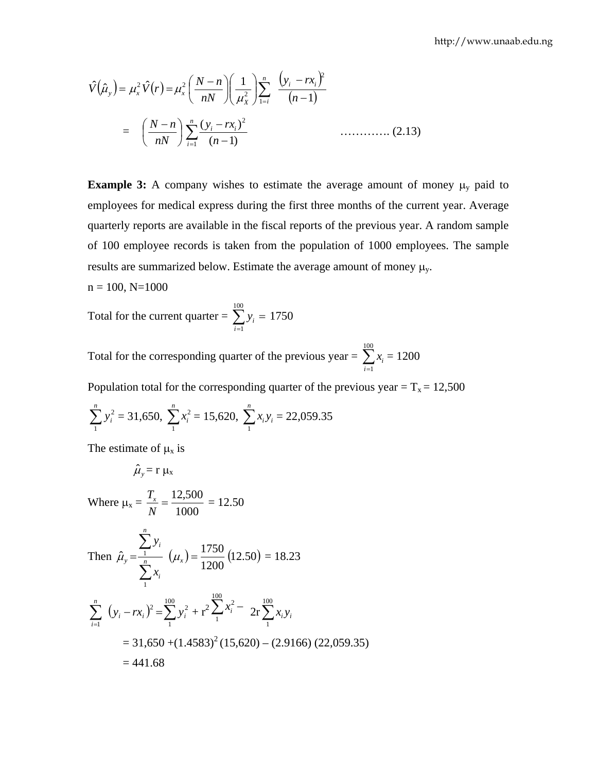$$
\hat{V}(\hat{\mu}_y) = \mu_x^2 \hat{V}(r) = \mu_x^2 \left(\frac{N-n}{nN}\right) \left(\frac{1}{\mu_X^2}\right) \sum_{i=i}^n \frac{(y_i - rx_i)^2}{(n-1)}
$$
\n
$$
= \left(\frac{N-n}{nN}\right) \sum_{i=1}^n \frac{(y_i - rx_i)^2}{(n-1)} \quad \dots \dots \dots \dots \tag{2.13}
$$

**Example 3:** A company wishes to estimate the average amount of money  $\mu_y$  paid to employees for medical express during the first three months of the current year. Average quarterly reports are available in the fiscal reports of the previous year. A random sample of 100 employee records is taken from the population of 1000 employees. The sample results are summarized below. Estimate the average amount of money  $\mu_{v}$ .

 $n = 100$ ,  $N=1000$ 

Total for the current quarter =  $\sum_{i=1} y_i =$ 100  $i = 1$  $y_i = 1750$ 

Total for the corresponding quarter of the previous year =  $\sum_{i=1}^{100}$  $i = 1$  $x_i = 1200$ 

Population total for the corresponding quarter of the previous year =  $T_x = 12,500$ 

$$
\sum_{i=1}^{n} y_i^2 = 31,650, \ \sum_{i=1}^{n} x_i^2 = 15,620, \ \sum_{i=1}^{n} x_i y_i = 22,059.35
$$

The estimate of  $\mu_x$  is

$$
\hat{\mu}_y = r \mu_x
$$

Where 
$$
\mu_x = \frac{T_x}{N} = \frac{12,500}{1000} = 12.50
$$

Then 
$$
\hat{\mu}_y = \frac{\sum_{i=1}^{n} y_i}{\sum_{i=1}^{n} x_i} (\mu_x) = \frac{1750}{1200} (12.50) = 18.23
$$

$$
\sum_{i=1}^{n} (y_i - rx_i)^2 = \sum_{1}^{100} y_i^2 + r^2 \sum_{1}^{100} x_i^2 - 2r \sum_{1}^{100} x_i y_i
$$
  
= 31,650 + (1.4583)<sup>2</sup> (15,620) – (2.9166) (22,059.35)  
= 441.68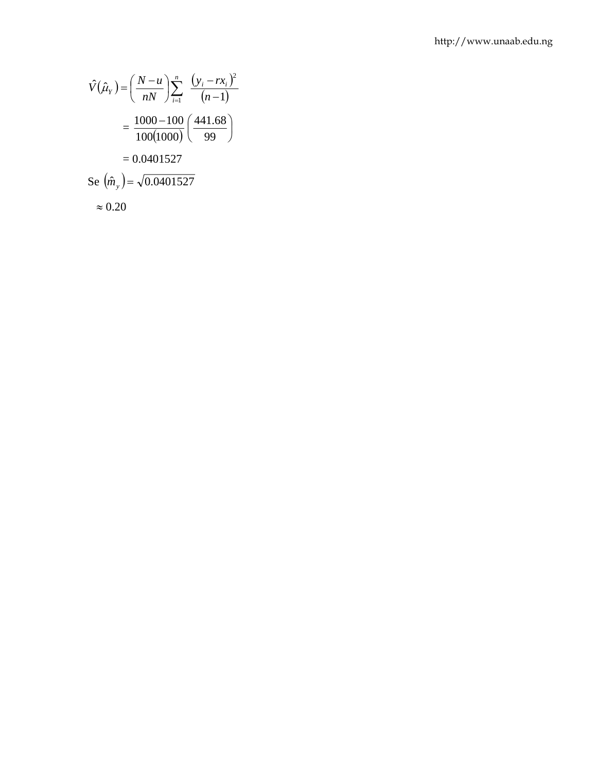$$
\hat{V}(\hat{\mu}_Y) = \left(\frac{N-u}{nN}\right) \sum_{i=1}^n \frac{(y_i - rx_i)^2}{(n-1)}
$$

$$
= \frac{1000 - 100}{100(1000)} \left(\frac{441.68}{99}\right)
$$

$$
= 0.0401527
$$
  
Se  $(\hat{m}_y) = \sqrt{0.0401527}$ 
$$
\approx 0.20
$$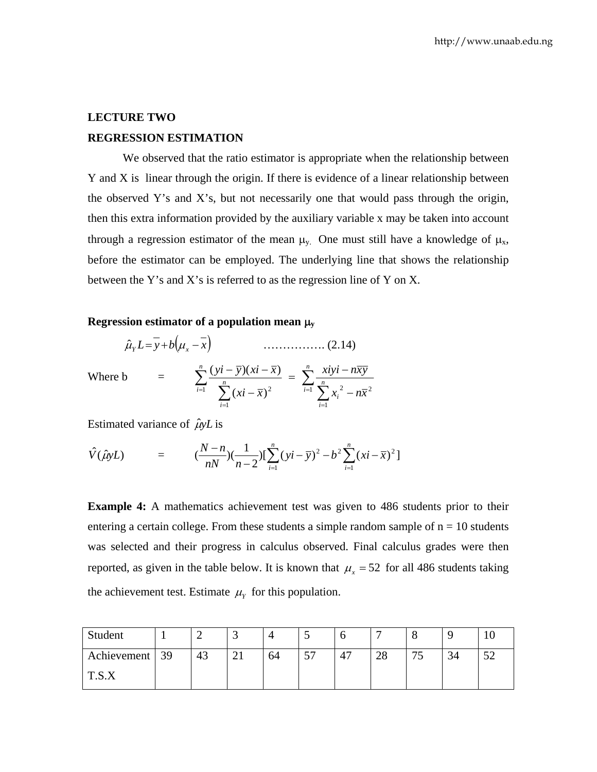# **LECTURE TWO REGRESSION ESTIMATION**

We observed that the ratio estimator is appropriate when the relationship between Y and X is linear through the origin. If there is evidence of a linear relationship between the observed Y's and X's, but not necessarily one that would pass through the origin, then this extra information provided by the auxiliary variable x may be taken into account through a regression estimator of the mean  $\mu_{y}$ . One must still have a knowledge of  $\mu_{x}$ , before the estimator can be employed. The underlying line that shows the relationship between the Y's and X's is referred to as the regression line of Y on X.

#### **Regression estimator of a population mean** μ**<sup>y</sup>**

$$
\hat{\mu}_Y L = \overline{y} + b \Big( \mu_x - \overline{x} \Big) \qquad \qquad \dots \dots \dots \dots \dots \dots \dots \tag{2.14}
$$

Where  $\mathbf{b} =$ 

$$
\sum_{i=1}^n \frac{(yi-\overline{y})(xi-\overline{x})}{\sum_{i=1}^n (xi-\overline{x})^2} = \sum_{i=1}^n \frac{xiyi - n\overline{xy}}{\sum_{i=1}^n x_i^2 - n\overline{x}^2}
$$

Estimated variance of  $\hat{\mu}$ *yL* is

$$
\hat{V}(\hat{\mu}yL) = (\frac{N-n}{nN})(\frac{1}{n-2})\left[\sum_{i=1}^{n}(yi-\overline{y})^{2}-b^{2}\sum_{i=1}^{n}(xi-\overline{x})^{2}\right]
$$

**Example 4:** A mathematics achievement test was given to 486 students prior to their entering a certain college. From these students a simple random sample of  $n = 10$  students was selected and their progress in calculus observed. Final calculus grades were then reported, as given in the table below. It is known that  $\mu_x = 52$  for all 486 students taking the achievement test. Estimate  $\mu_Y$  for this population.

| Student          |    | ັ            |    |         |                      |    |                                 |    |  |
|------------------|----|--------------|----|---------|----------------------|----|---------------------------------|----|--|
| Achievement   39 | 43 | $\sim$<br>∠⊥ | 64 | --<br>ັ | $\overline{ }$<br>4. | ∠∪ | $\overline{\phantom{m}}$<br>ر ، | 34 |  |
| TR C JZ<br>1.0.4 |    |              |    |         |                      |    |                                 |    |  |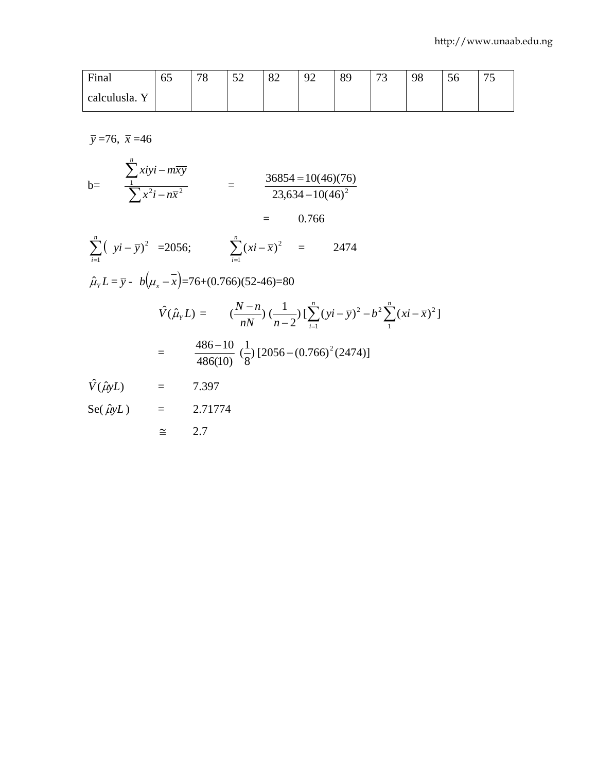| Final         | 65 | 70<br>۰o | $\sim$<br>◡▱ | $\Omega$<br>ΟŹ | ∩∩<br>′ ← | $\Omega$ $\Omega$<br>O | $\mathbf{a}$<br>ັ | 98 | $\sim$<br>υU | $\overline{a}$<br>ں ، |
|---------------|----|----------|--------------|----------------|-----------|------------------------|-------------------|----|--------------|-----------------------|
| calculusla. Y |    |          |              |                |           |                        |                   |    |              |                       |

 $\bar{y} = 76$ ,  $\bar{x} = 46$ 

$$
b = \frac{\sum_{1}^{n} xiyi - m\overline{xy}}{\sum_{1}^{n} x^{2}i - n\overline{x}^{2}} = \frac{36854 = 10(46)(76)}{23,634 - 10(46)^{2}} = 0.766
$$

$$
\sum_{i=1}^{n} (yi - \overline{y})^2 = 2056; \qquad \sum_{i=1}^{n} (xi - \overline{x})^2 = 2474
$$

 $\approx 2.7$ 

$$
\hat{\mu}_Y L = \bar{y} - b(\mu_x - x) = 76 + (0.766)(52 - 46) = 80
$$
\n
$$
\hat{V}(\hat{\mu}_Y L) = \frac{N - n}{nN} \left(\frac{1}{n-2}\right) \left[\sum_{i=1}^n (yi - \bar{y})^2 - b^2 \sum_{i=1}^n (xi - \bar{x})^2\right]
$$
\n
$$
= \frac{486 - 10}{486(10)} \left(\frac{1}{8}\right) \left[2056 - (0.766)^2 (2474)\right]
$$
\n
$$
\hat{V}(\hat{\mu}_Y L) = 7.397
$$
\n
$$
\text{Se}(\hat{\mu}_Y L) = 2.71774
$$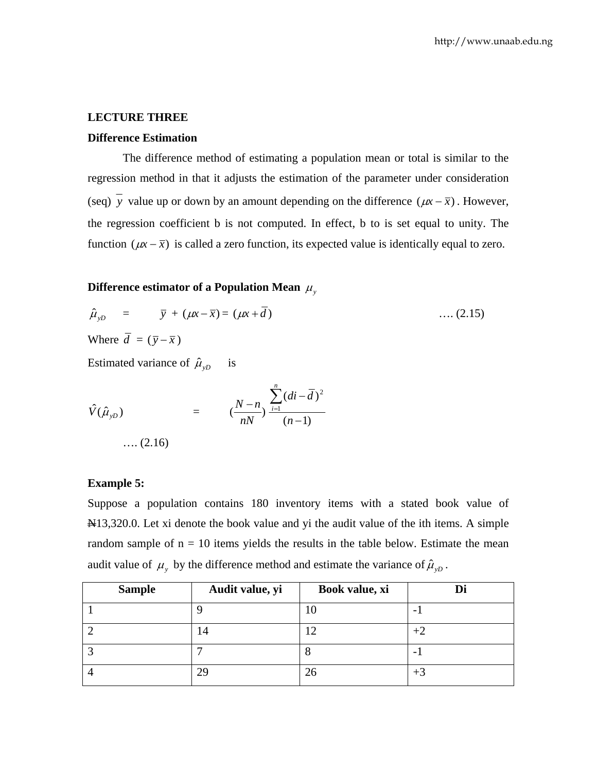#### **LECTURE THREE**

#### **Difference Estimation**

 The difference method of estimating a population mean or total is similar to the regression method in that it adjusts the estimation of the parameter under consideration (seq)  $\overline{y}$  value up or down by an amount depending on the difference ( $\mu x - \overline{x}$ ). However, the regression coefficient b is not computed. In effect, b to is set equal to unity. The function ( $\mu x - \bar{x}$ ) is called a zero function, its expected value is identically equal to zero.

# **Difference estimator of a Population Mean**  $\mu$ **,**

$$
\hat{\mu}_{yD} = \bar{y} + (\mu x - \bar{x}) = (\mu x + \bar{d}) \qquad \qquad \dots (2.15)
$$
\nWhere  $\bar{d} = (\bar{y} - \bar{x})$ 

Estimated variance of  $\hat{\mu}_{vD}$  is

$$
\hat{V}(\hat{\mu}_{yD}) = \left(\frac{N-n}{nN}\right)^{\sum_{i=1}^{n} (di - \overline{d})^2} \dots (2.16)
$$

#### **Example 5:**

Suppose a population contains 180 inventory items with a stated book value of N<sub>13</sub>,320.0. Let xi denote the book value and yi the audit value of the ith items. A simple random sample of  $n = 10$  items yields the results in the table below. Estimate the mean audit value of  $\mu_y$  by the difference method and estimate the variance of  $\hat{\mu}_{yD}$ .

| <b>Sample</b> | Audit value, yi | Book value, xi |                          |
|---------------|-----------------|----------------|--------------------------|
|               |                 | 10             |                          |
|               | 14              |                | $+2$                     |
|               | ┍               | О              | $\overline{\phantom{0}}$ |
|               | 29              | 26             | $+3$                     |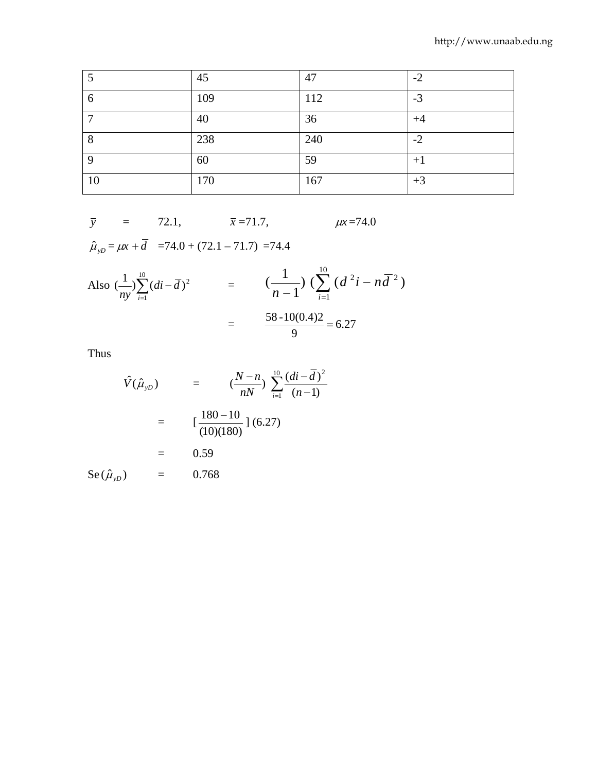| 5  | 45  | 47  | $-2$ |
|----|-----|-----|------|
| 6  | 109 | 112 | $-3$ |
| ⇁  | 40  | 36  | $+4$ |
| 8  | 238 | 240 | $-2$ |
| 9  | 60  | 59  | $+1$ |
| 10 | 170 | 167 | $+3$ |

$$
\bar{y}
$$
 = 72.1,  $\bar{x}$ =71.7,  $\mu x$ =74.0

 $\hat{\mu}_{yD} = \mu x + \overline{d} = 74.0 + (72.1 - 71.7) = 74.4$ 

Also 
$$
\left(\frac{1}{ny}\right)_{i=1}^{10} (di - \overline{d})^2
$$
 =  $\left(\frac{1}{n-1}\right) \left(\sum_{i=1}^{10} (d^2 i - n \overline{d}^2)\right)$   
=  $\frac{58 \cdot 10(0.4)2}{9} = 6.27$ 

Thus

$$
\hat{V}(\hat{\mu}_{yD}) = \frac{(\frac{N-n}{nN}) \sum_{i=1}^{10} \frac{(di - \overline{d})^2}{(n-1)}}{(\frac{180 - 10}{(10)(180)} \cdot 6.27)}
$$
  
= 0.59  
Se( $\hat{\mu}_{yD}$ ) = 0.768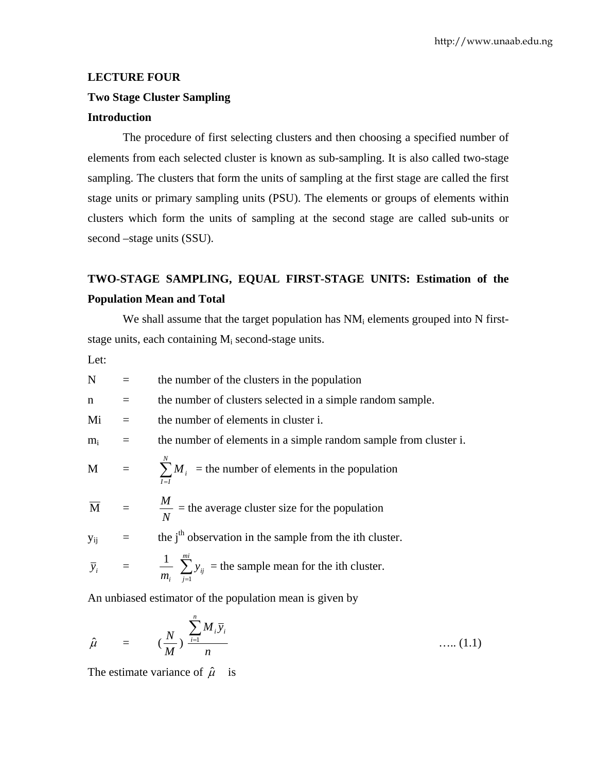# **LECTURE FOUR Two Stage Cluster Sampling**

# **Introduction**

 The procedure of first selecting clusters and then choosing a specified number of elements from each selected cluster is known as sub-sampling. It is also called two-stage sampling. The clusters that form the units of sampling at the first stage are called the first stage units or primary sampling units (PSU). The elements or groups of elements within clusters which form the units of sampling at the second stage are called sub-units or second –stage units (SSU).

# **TWO-STAGE SAMPLING, EQUAL FIRST-STAGE UNITS: Estimation of the Population Mean and Total**

We shall assume that the target population has  $NM_i$  elements grouped into N firststage units, each containing  $M_i$  second-stage units.

Let:

 $N =$  the number of the clusters in the population  $n =$  the number of clusters selected in a simple random sample.  $Mi =$  the number of elements in cluster i.  $m_i$  = the number of elements in a simple random sample from cluster i.  $M = \sum_{I=I}^{N}$ *I I*  $M_i$  = the number of elements in the population  $\overline{M}$  = *N*  $\frac{M}{\sqrt{M}}$  = the average cluster size for the population  $y_{ij}$  = the j<sup>th</sup> observation in the sample from the ith cluster.  $\bar{y}_i$  =  $\frac{1}{m_i} \sum_{j=1}^{mi}$ *j ij y* 1 = the sample mean for the ith cluster. An unbiased estimator of the population mean is given by

$$
\hat{\mu} = \left(\frac{N}{M}\right) \frac{\sum_{i=1}^{n} M_i \overline{y}_i}{n} \qquad \qquad \dots (1.1)
$$

The estimate variance of  $\hat{\mu}$  is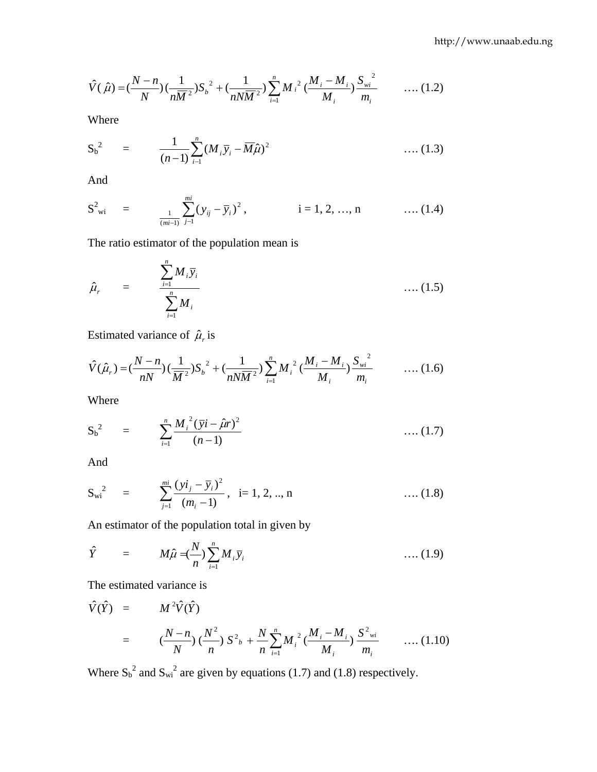$$
\hat{V}(\hat{\mu}) = \left(\frac{N-n}{N}\right)\left(\frac{1}{n\overline{M}^2}\right)S_b^2 + \left(\frac{1}{nN\overline{M}^2}\right)\sum_{i=1}^n M_i^2\left(\frac{M_i - M_i}{M_i}\right)\frac{S_{wi}^2}{m_i} \qquad \dots (1.2)
$$

Where

$$
S_b^2 = \frac{1}{(n-1)} \sum_{i=1}^n (M_i \bar{y}_i - \bar{M}\hat{\mu})^2 \qquad \qquad \dots (1.3)
$$

And

$$
S^{2}_{wi} = \frac{1}{\frac{1}{(mi-1)}} \sum_{j=1}^{mi} (y_{ij} - \overline{y}_i)^2, \qquad i = 1, 2, ..., n \qquad \dots (1.4)
$$

The ratio estimator of the population mean is

$$
\hat{\mu}_r = \frac{\sum_{i=1}^n M_i \overline{y}_i}{\sum_{i=1}^n M_i}
$$
 .... (1.5)

Estimated variance of  $\hat{\mu}_r$  is

$$
\hat{V}(\hat{\mu}_r) = \left(\frac{N-n}{nN}\right)\left(\frac{1}{\overline{M}^2}\right)S_b^2 + \left(\frac{1}{nN\overline{M}^2}\right)\sum_{i=1}^n M_i^2\left(\frac{M_i - M_i}{M_i}\right)\frac{S_{wi}^2}{m_i} \qquad \dots (1.6)
$$

Where

$$
S_b^2 = \sum_{i=1}^n \frac{M_i^2 (\bar{y}i - \hat{\mu}r)^2}{(n-1)}
$$
 .... (1.7)

And

$$
S_{wi}^{2} = \sum_{j=1}^{mi} \frac{(yi_j - \overline{y}_i)^2}{(m_i - 1)}, \quad i = 1, 2, ..., n \quad \dots (1.8)
$$

An estimator of the population total in given by

$$
\hat{Y} = M\hat{\mu} = \frac{N}{n} \sum_{i=1}^{n} M_i \overline{y}_i \qquad \qquad \dots (1.9)
$$

The estimated variance is

$$
\hat{V}(\hat{Y}) = M^2 \hat{V}(\hat{Y})
$$
\n
$$
= (\frac{N-n}{N}) (\frac{N^2}{n}) S^2_{b} + \frac{N}{n} \sum_{i=1}^{n} M_i^2 (\frac{M_i - M_i}{M_i}) \frac{S^2_{wi}}{m_i} \qquad \dots (1.10)
$$

Where  $S_b^2$  and  $S_{wi}^2$  are given by equations (1.7) and (1.8) respectively.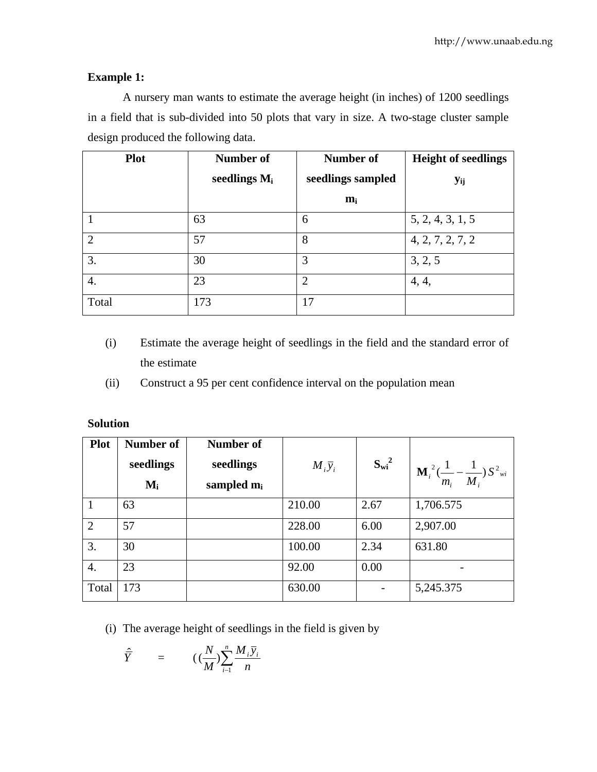# **Example 1:**

 A nursery man wants to estimate the average height (in inches) of 1200 seedlings in a field that is sub-divided into 50 plots that vary in size. A two-stage cluster sample design produced the following data.

| <b>Plot</b>    | Number of       | Number of         | <b>Height of seedlings</b> |
|----------------|-----------------|-------------------|----------------------------|
|                | seedlings $M_i$ | seedlings sampled | <b>Y</b> ij                |
|                |                 | $m_i$             |                            |
|                | 63              | 6                 | 5, 2, 4, 3, 1, 5           |
| $\overline{2}$ | 57              | 8                 | 4, 2, 7, 2, 7, 2           |
| 3.             | 30              | 3                 | 3, 2, 5                    |
| 4.             | 23              | $\overline{2}$    | 4, 4,                      |
| Total          | 173             | 17                |                            |

- (i) Estimate the average height of seedlings in the field and the standard error of the estimate
- (ii) Construct a 95 per cent confidence interval on the population mean

| <b>Plot</b>    | Number of<br>seedlings<br>$M_i$ | Number of<br>seedlings<br>sampled $m_i$ | $M_i \overline{y}_i$ | $S_{wi}^2$ | $\mathbf{M}_{i}^{2}(\frac{1}{m_{i}}-\frac{1}{M_{i}})S^{2}$ <sub>wi</sub> |
|----------------|---------------------------------|-----------------------------------------|----------------------|------------|--------------------------------------------------------------------------|
|                | 63                              |                                         | 210.00               | 2.67       | 1,706.575                                                                |
| $\overline{2}$ | 57                              |                                         | 228.00               | 6.00       | 2,907.00                                                                 |
| 3.             | 30                              |                                         | 100.00               | 2.34       | 631.80                                                                   |
| 4.             | 23                              |                                         | 92.00                | 0.00       |                                                                          |
| Total          | 173                             |                                         | 630.00               |            | 5,245.375                                                                |

(i) The average height of seedlings in the field is given by

$$
\hat{\overline{Y}} = (\left(\frac{N}{M}\right) \sum_{i=1}^{n} \frac{M_i \overline{y}_i}{n}
$$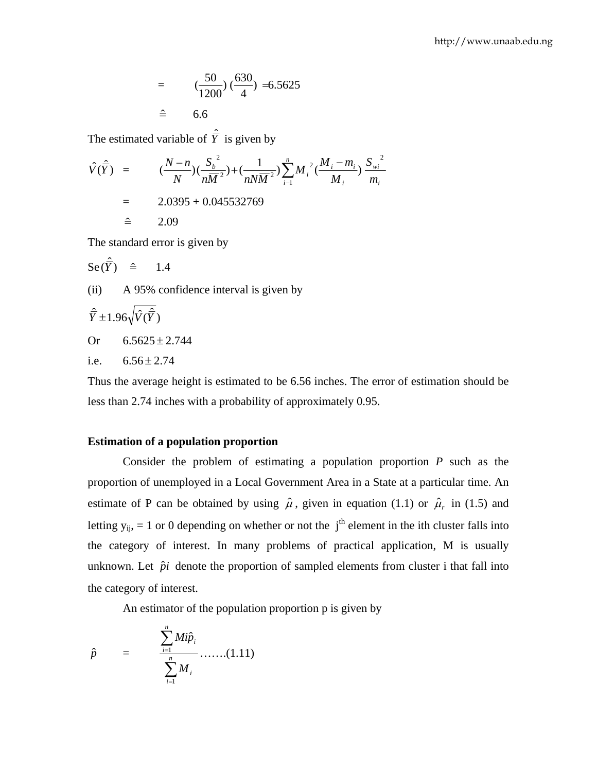$$
= \frac{(50)}{1200} (\frac{630}{4}) = 6.5625
$$
  

$$
\hat{=} \qquad 6.6
$$

The estimated variable of  $\hat{\overline{Y}}$  is given by

$$
\hat{V}(\hat{\overline{Y}}) = (\frac{N-n}{N})(\frac{S_b^2}{n\overline{M}^2}) + (\frac{1}{nN\overline{M}^2})\sum_{i=1}^n M_i^2(\frac{M_i - m_i}{M_i})\frac{S_{wi}^2}{m_i}
$$
\n
$$
= 2.0395 + 0.045532769
$$
\n
$$
\hat{=} 2.09
$$

The standard error is given by

$$
\mathrm{Se}(\hat{\vec{Y}}) \quad \hat{=} \qquad 1.4
$$

(ii) A 95% confidence interval is given by

$$
\hat{\overline{Y}} \pm 1.96 \sqrt{\hat{V}(\hat{\overline{Y}})}
$$
  
Or 6.5625 ± 2.744

$$
\mathcal{L}^{\mathcal{L}}(\mathcal{L}^{\mathcal{L}}(\mathcal{L}^{\mathcal{L}}(\mathcal{L}^{\mathcal{L}}(\mathcal{L}^{\mathcal{L}}(\mathcal{L}^{\mathcal{L}}(\mathcal{L}^{\mathcal{L}}(\mathcal{L}^{\mathcal{L}}(\mathcal{L}^{\mathcal{L}}(\mathcal{L}^{\mathcal{L}}(\mathcal{L}^{\mathcal{L}}(\mathcal{L}^{\mathcal{L}}(\mathcal{L}^{\mathcal{L}}(\mathcal{L}^{\mathcal{L}}(\mathcal{L}^{\mathcal{L}}(\mathcal{L}^{\mathcal{L}}(\mathcal{L}^{\mathcal{L}}(\mathcal{L}^{\mathcal{L}}(\mathcal{L}^{\mathcal{L}}(\mathcal{L}^{\mathcal{L}}(\mathcal{L}^{\mathcal{L}}(\mathcal{L}^{\mathcal{L}}(\mathcal{L}^{\mathcal{L}}(\mathcal{L}^{\mathcal{L}}(\mathcal{L}^{\mathcal{L}}(\mathcal{L}^{\mathcal{L}}(\mathcal{L}^{\mathcal{L}}(\mathcal{L}^{\mathcal{L}}(\mathcal{L}^{\mathcal{L}}(\mathcal{L}^{\mathcal{L}}(\mathcal{L}^{\mathcal{L}}(\mathcal{L}^{\mathcal{L}}(\mathcal{L}^{\mathcal{L}}(\mathcal{L}^{\mathcal{L}}(\mathcal{L}^{\mathcal{L}}(\mathcal{L}^{\mathcal{L}}(\mathcal{L}^{\mathcal{L}}(\mathcal{L}^{\mathcal{L}}(\mathcal{L}^{\mathcal{L}}(\mathcal{L}^{\mathcal{L}}(\mathcal{L}^{\mathcal{L}}(\mathcal{L}^{\mathcal{L}}(\mathcal{L}^{\mathcal{L}}(\mathcal{L}^{\mathcal{L}}(\mathcal{L}^{\mathcal{L}}(\mathcal{L}^{\mathcal{L}}(\mathcal{L}^{\mathcal{L}}(\mathcal{L}^{\mathcal{L}}(\mathcal{L}^{\mathcal{L}}(\mathcal{L}^{\mathcal{L}}(\mathcal{L}^{\mathcal{L}}(\mathcal{L}^{\mathcal{L}}(\mathcal{L}^{\mathcal{L}}(\mathcal{L}^{\mathcal{L}}(\mathcal{L}^{\mathcal{L}}(\mathcal{L}^{\mathcal{L}}(\mathcal{L}^{\mathcal{L}}(\mathcal{L}^{\mathcal{L}}(\mathcal{L}
$$

i.e. 
$$
6.56 \pm 2.74
$$

Thus the average height is estimated to be 6.56 inches. The error of estimation should be less than 2.74 inches with a probability of approximately 0.95.

#### **Estimation of a population proportion**

 Consider the problem of estimating a population proportion *P* such as the proportion of unemployed in a Local Government Area in a State at a particular time. An estimate of P can be obtained by using  $\hat{\mu}$ , given in equation (1.1) or  $\hat{\mu}_r$  in (1.5) and letting  $y_{ii} = 1$  or 0 depending on whether or not the j<sup>th</sup> element in the ith cluster falls into the category of interest. In many problems of practical application, M is usually unknown. Let  $\hat{p}$ *i* denote the proportion of sampled elements from cluster i that fall into the category of interest.

An estimator of the population proportion p is given by

$$
\hat{p} = \frac{\sum_{i=1}^{n} Mi\hat{p}_i}{\sum_{i=1}^{n} M_i} \dots \dots (1.11)
$$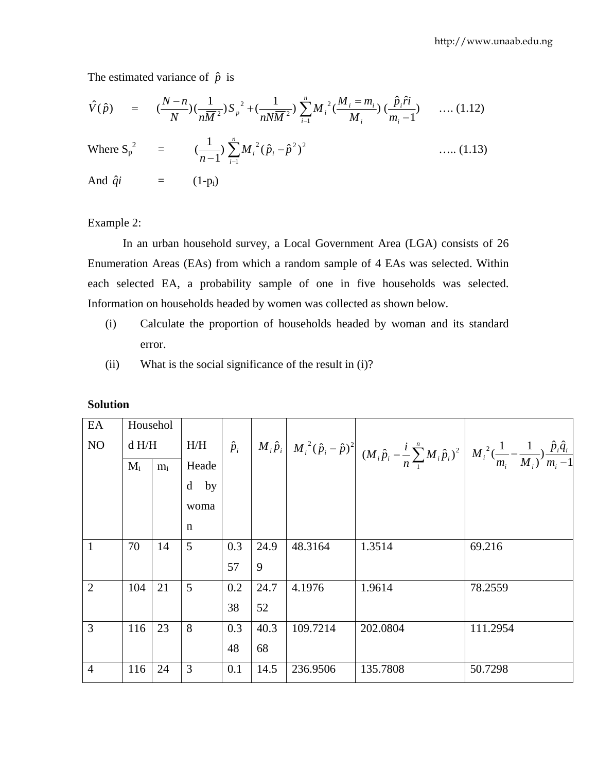The estimated variance of  $\hat{p}$  is

$$
\hat{V}(\hat{p}) = (\frac{N-n}{N})(\frac{1}{n\overline{M}^2})S_p^{2} + (\frac{1}{nN\overline{M}^2})\sum_{i=1}^{n}M_i^{2}(\frac{M_i = m_i}{M_i})(\frac{\hat{p}_i\hat{r}i}{m_i - 1}) \quad .... (1.12)
$$

Where 
$$
S_p^2
$$
 =  $(\frac{1}{n-1}) \sum_{i=1}^{n} M_i^2 (\hat{p}_i - \hat{p}^2)^2$  ...... (1.13)  
And  $\hat{q}i$  = (1-p<sub>i</sub>)

Example 2:

 In an urban household survey, a Local Government Area (LGA) consists of 26 Enumeration Areas (EAs) from which a random sample of 4 EAs was selected. Within each selected EA, a probability sample of one in five households was selected. Information on households headed by women was collected as shown below.

- (i) Calculate the proportion of households headed by woman and its standard error.
- (ii) What is the social significance of the result in (i)?

| EA             | Househol |       |        |             |      |          |                                                                                                                                                                                                                                                                        |          |
|----------------|----------|-------|--------|-------------|------|----------|------------------------------------------------------------------------------------------------------------------------------------------------------------------------------------------------------------------------------------------------------------------------|----------|
| NO             | d H/H    |       | H/H    | $\hat{p}_i$ |      |          | $\left[ \left\  {M_i \hat p_i } \right\  {M_i }^2 (\hat p_i - \hat p)^2 \right] (M_i \hat p_i - \frac{i}{n} \sum\limits_1^n {M_i \hat p_i} )^2 \left[ \left\  {M_i }^2 (\frac{1}{{m_i }} - \frac{1}{{M_i } }) \frac{{\hat p_i \hat q_i }}{{m_i } - 1} \right] \right]$ |          |
|                | $M_i$    | $m_i$ | Heade  |             |      |          |                                                                                                                                                                                                                                                                        |          |
|                |          |       | $d$ by |             |      |          |                                                                                                                                                                                                                                                                        |          |
|                |          |       | woma   |             |      |          |                                                                                                                                                                                                                                                                        |          |
|                |          |       | n      |             |      |          |                                                                                                                                                                                                                                                                        |          |
| $\mathbf{1}$   | 70       | 14    | 5      | 0.3         | 24.9 | 48.3164  | 1.3514                                                                                                                                                                                                                                                                 | 69.216   |
|                |          |       |        | 57          | 9    |          |                                                                                                                                                                                                                                                                        |          |
| 2              | 104      | 21    | 5      | 0.2         | 24.7 | 4.1976   | 1.9614                                                                                                                                                                                                                                                                 | 78.2559  |
|                |          |       |        | 38          | 52   |          |                                                                                                                                                                                                                                                                        |          |
| 3              | 116      | 23    | 8      | 0.3         | 40.3 | 109.7214 | 202.0804                                                                                                                                                                                                                                                               | 111.2954 |
|                |          |       |        | 48          | 68   |          |                                                                                                                                                                                                                                                                        |          |
| $\overline{4}$ | 116      | 24    | 3      | 0.1         | 14.5 | 236.9506 | 135.7808                                                                                                                                                                                                                                                               | 50.7298  |

#### **Solution**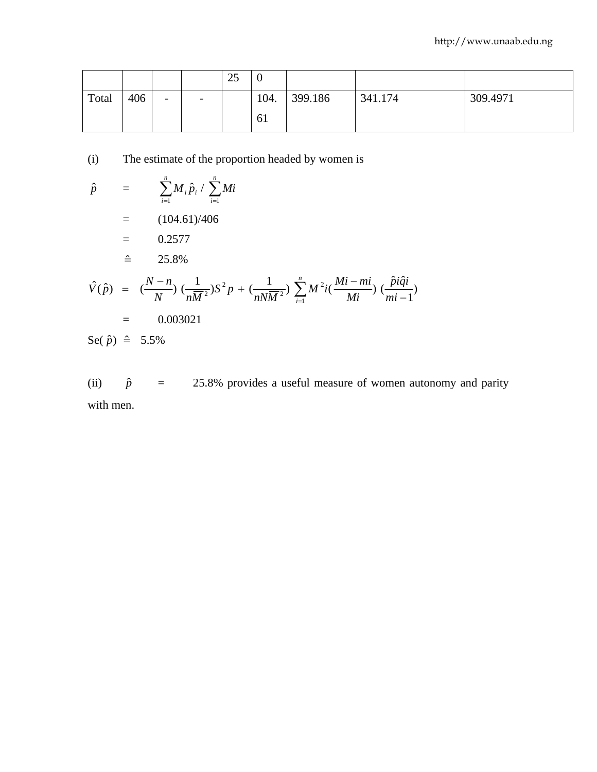|       |     |   |                          | 25 | ν    |         |         |          |
|-------|-----|---|--------------------------|----|------|---------|---------|----------|
| Total | 406 | - | $\overline{\phantom{0}}$ |    | 104. | 399.186 | 341.174 | 309.4971 |
|       |     |   |                          |    | 61   |         |         |          |

(i) The estimate of the proportion headed by women is

$$
\hat{p} = \sum_{i=1}^{n} M_{i} \hat{p}_{i} / \sum_{i=1}^{n} Mi
$$
\n
$$
= (104.61)/406
$$
\n
$$
= 0.2577
$$
\n
$$
\hat{v}(\hat{p}) = (\frac{N-n}{N}) (\frac{1}{nM^{2}})S^{2}p + (\frac{1}{nN\overline{M}^{2}}) \sum_{i=1}^{n} M^{2}i(\frac{Mi - mi}{Mi}) (\frac{\hat{p}i\hat{q}i}{mi - 1})
$$
\n
$$
= 0.003021
$$
\n
$$
\text{Se}(\hat{p}) \hat{=} 5.5\%
$$

(ii)  $\hat{p}$  = 25.8% provides a useful measure of women autonomy and parity with men.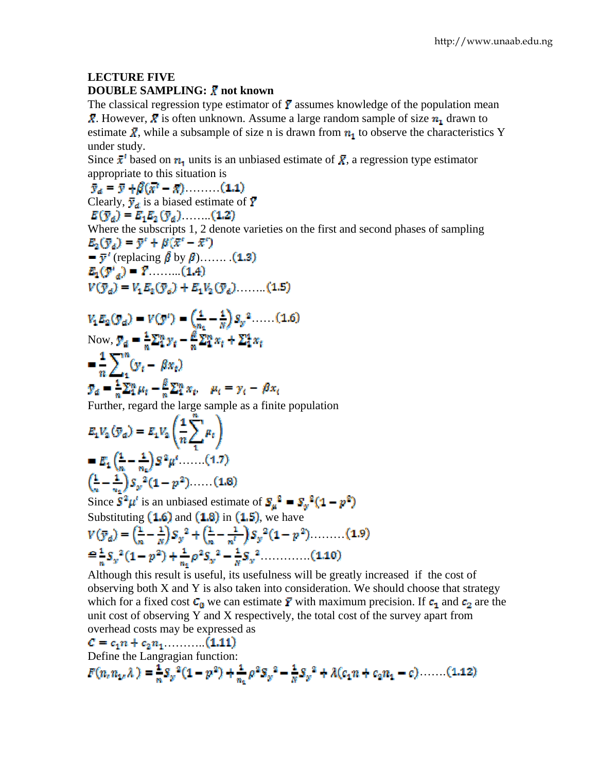## **LECTURE FIVE DOUBLE SAMPLING:**  $\bar{x}$  **not known**

The classical regression type estimator of  $\overline{Y}$  assumes knowledge of the population mean  $\bar{X}$ . However,  $\bar{X}$  is often unknown. Assume a large random sample of size  $n_1$  drawn to estimate  $\bar{X}$ , while a subsample of size n is drawn from  $n_1$  to observe the characteristics Y under study.

Since  $\bar{x}^{\prime}$  based on  $n_1$  units is an unbiased estimate of  $\bar{X}$ , a regression type estimator appropriate to this situation is

 $\bar{y}_a = \bar{y} + \beta(\bar{x}^t - \bar{x})$  (1.1) Clearly,  $\bar{y}_d$  is a biased estimate of  $\bar{Y}$  $E(\bar{y}_d) = E_1 E_2 (\bar{y}_d)$  (1.2) Where the subscripts 1, 2 denote varieties on the first and second phases of sampling  $E_2(\overline{y}_d) = \overline{y}^t + \beta(\overline{x}^t - \overline{x}^t)$  $= \bar{y}'$  (replacing  $\hat{\beta}$  by  $\beta$ )....... (1.3)  $E_1(Y'_{a}) = Y$  (1.4)  $V(\bar{y}_a) = V_1 E_2(\bar{y}_a) + E_1 V_2(\bar{y}_a)$  (1.5)  $V_1 E_2(y_a) = V(y^i) = \left(\frac{1}{n_e} - \frac{1}{N}\right) S_y^2 \dots (1.6)$ Now,  $\overline{y}_d = \frac{1}{n} \sum_{i=1}^{n} y_i - \frac{\beta}{n} \sum_{i=1}^{n} x_i + \sum_{i=1}^{n} x_i$  $=\frac{1}{n}\sum_{i}^{n}(y_{t}-\beta x_{t})$  $\mathbf{y}_d = \frac{1}{n} \sum_{i=1}^n \mu_i - \frac{\beta}{n} \sum_{i=1}^n x_i, \quad \mu_i = \gamma_i - \beta x_i$ Further, regard the large sample as a finite population  $E_1V_2(\bar{y}_a)=E_1V_2\left(\frac{1}{n}\sum^m \mu_t\right)$  $E_1\left(\frac{1}{n}-\frac{1}{n}\right)S^2\mu'$  (1.7)  $\left(\frac{1}{n}-\frac{1}{n}\right)S_{y}^{2}(1-p^{2})$  (1.8) Since  $\mathbf{S}^2 \boldsymbol{\mu}^t$  is an unbiased estimate of  $\mathbf{S}_{\boldsymbol{\mu}}^2 = \mathbf{S}_{\boldsymbol{\mu}}^2 (1 - \boldsymbol{p}^2)$ Substituting  $(1.6)$  and  $(1.8)$  in  $(1.5)$ , we have  $V(\overline{y}_d) = \left(\frac{1}{n} - \frac{1}{n}\right)S_y^2 + \left(\frac{1}{n} - \frac{1}{n^2}\right)S_y^2(1 - p^2)$  (1.9)  $\leq \frac{1}{n} S_y^2 (1 - p^2) + \frac{1}{n} \rho^2 S_y^2 - \frac{1}{n} S_y^2 \dots (1.10)$ 

Although this result is useful, its usefulness will be greatly increased if the cost of observing both X and Y is also taken into consideration. We should choose that strategy which for a fixed cost  $C_0$  we can estimate  $\bar{Y}$  with maximum precision. If  $c_1$  and  $c_2$  are the unit cost of observing Y and X respectively, the total cost of the survey apart from overhead costs may be expressed as

$$
C = c_1 n + c_2 n_1 \dots \dots \dots (1.11)
$$
  
Define the Langragian function:  

$$
F(n_n n_{1n} \lambda) = \frac{1}{n} S_y^2 (1 - p^2) + \frac{1}{n_1} \rho^2 S_y^2 - \frac{1}{n} S_y^2 + \lambda (c_1 n + c_2 n_1 - c) \dots \dots (1.12)
$$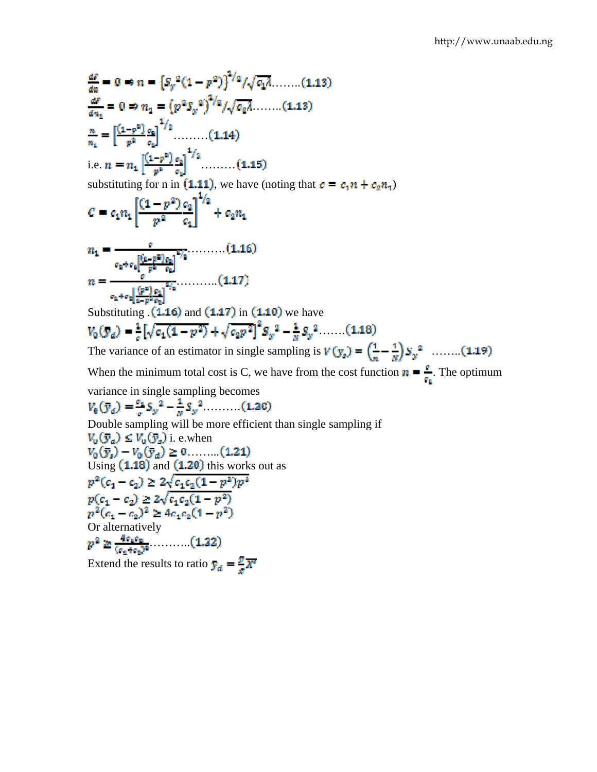$$
\frac{dP}{da} = 0 \Rightarrow n = \left\{S_p^2(1-p^2)\right\}^{1/2}/\sqrt{c_1\lambda}, \dots \dots (1.13)
$$
\n
$$
\frac{dP}{da_1} = 0 \Rightarrow n_1 = \left(p^2S_p^2\right)^{1/2}/\sqrt{c_2\lambda}, \dots \dots (1.13)
$$
\n
$$
\frac{n}{n_1} = \left[\frac{(1-p^2)}{p^3} \frac{c_1}{c_2}\right]^{1/2}, \dots \dots \dots (1.14)
$$
\ni.e.  $n = n_1 \left[\frac{(1-p^2)}{p^2} \frac{c_1}{c_2}\right]^{1/2}, \dots \dots \dots (1.15)$ \nsubstituting for n in (1.11), we have (noting that  $c = c_1 n + c_2 n_1$ )\n
$$
C = c_1 n_1 \left[\frac{(1-p^2)c_1}{p^2} \frac{c_1}{c_1}\right]^{1/2} + c_2 n_1
$$
\n
$$
n_1 = \frac{c_1}{c_1 + c_1 \left[\frac{(p^2)c_1}{p^2} \frac{c_1}{c_1}\right]^{1/2}}; \dots \dots \dots (1.16)
$$
\n
$$
n = \frac{\left[\left(\frac{p^2}{p^2} \frac{c_1}{c_1}\right)^{1/2} \frac{c_1}{c_1} \dots \dots \frac{c_1}{c_1}\right]^{1/2}}{c_1 + c_1 \left[\frac{(p^2)c_1}{c_1 + p^2} \frac{c_1}{c_1}\right]}; \dots \dots \dots (1.17)
$$
\nSubstituting (1.16) and (1.17) in (1.10) we have\n
$$
V_0 \left(\frac{n}{d}\right) = \frac{1}{c} \left\{\sqrt{c_1(1-p^2)} + \sqrt{c_2 p^2}\right\}^2 S_p^2 - \frac{1}{m} S_p^2 \dots \dots (1.18)
$$
\nThe variance of an estimator in single sampling is  $V(y_s) = \left(\frac{1}{n} - \frac{1}{N}\right) S_p^2 \dots \dots (1.19)$ \nWhen the minimum total cost is C, we have from the cost function  $n = \frac{c}{c_1}$ . The optimum variance in single sampling becomes\n
$$
V_0 \left(\frac
$$

Or alternatively ……….. Extend the results to ratio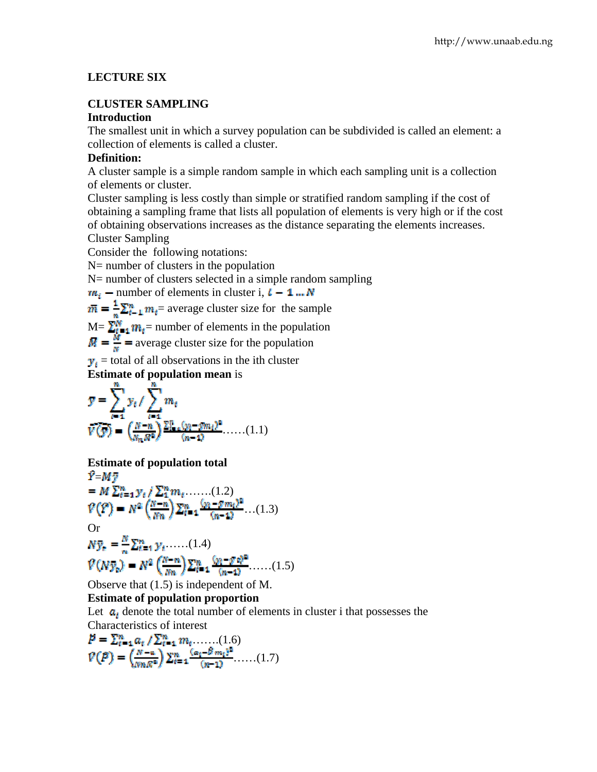# **LECTURE SIX**

# **CLUSTER SAMPLING**

## **Introduction**

The smallest unit in which a survey population can be subdivided is called an element: a collection of elements is called a cluster.

# **Definition:**

A cluster sample is a simple random sample in which each sampling unit is a collection of elements or cluster.

Cluster sampling is less costly than simple or stratified random sampling if the cost of obtaining a sampling frame that lists all population of elements is very high or if the cost of obtaining observations increases as the distance separating the elements increases. Cluster Sampling

Consider the following notations:

N= number of clusters in the population

N= number of clusters selected in a simple random sampling

$$
m_i
$$
 – number of elements in cluster i,  $t - 1$  ... N

 $\overline{m} = \frac{1}{n} \sum_{i=1}^{n} m_i$  average cluster size for the sample

 $M = \sum_{t=1}^{M} m_t$  = number of elements in the population

 $\overline{M} = \frac{M}{m}$  = average cluster size for the population

 $y_i$  = total of all observations in the ith cluster

**Estimate of population mean** is

$$
\mathbf{y} = \sum_{i=1}^{n} y_i / \sum_{i=1}^{n} m_i
$$
  

$$
\overline{V(y)} = \left(\frac{N-n}{N_n \sqrt{n^2}}\right) \frac{\sum_{i=1}^{n} (y_i - y m_i)^2}{(n-1)^2} \dots (1.1)
$$

# **Estimate of population total**

$$
Y=M\overline{y}
$$
  
=  $M \sum_{i=1}^{n} y_i / \sum_{i=1}^{n} m_i$ ...(1.2)  
 $\mathcal{V}(\overline{Y}) = N^2 \left(\frac{N-n}{Nn}\right) \sum_{i=1}^{n} \frac{(y_i - g m_i)^2}{(n-1)!}$ ...(1.3)  
Or  
 $N\overline{y}_t = \frac{N}{n} \sum_{i=1}^{n} y_i$ ...(1.4)  
 $\mathcal{V}(N\overline{y}_t) = N^2 \left(\frac{N-n}{Nn}\right) \sum_{i=1}^{n} \frac{(y_i - g)^2}{(n-1)!}$ ...(1.5)

Observe that (1.5) is independent of M.

# **Estimate of population proportion**

Let  $a_i$  denote the total number of elements in cluster i that possesses the Characteristics of interest

$$
P = \sum_{t=1}^{n} a_t / \sum_{t=1}^{n} m_t \dots (1.6)
$$
  

$$
V(P) = \left(\frac{N-n}{mnR^n}\right) \sum_{t=1}^{n} \frac{(a_t - \beta m_t)^2}{(n-1)} \dots (1.7)
$$